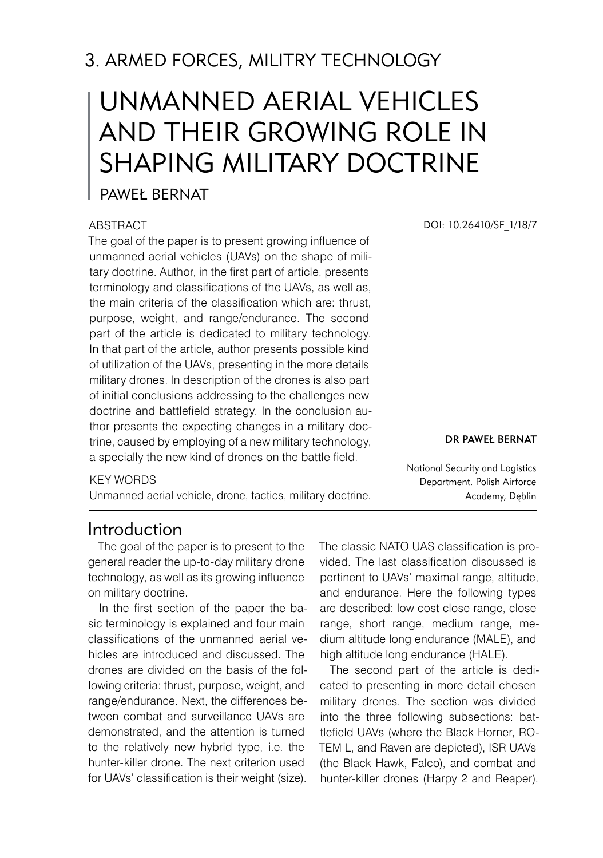# 3. ARMED FORCES, MILITRY TECHNOLOGY

# Unmanned Aerial Vehicles and Their Growing Role in SHAPING MILITARY DOCTRINE

### Paweł Bernat

#### **ABSTRACT**

The goal of the paper is to present growing influence of unmanned aerial vehicles (UAVs) on the shape of military doctrine. Author, in the first part of article, presents terminology and classifications of the UAVs, as well as, the main criteria of the classification which are: thrust, purpose, weight, and range/endurance. The second part of the article is dedicated to military technology. In that part of the article, author presents possible kind of utilization of the UAVs, presenting in the more details military drones. In description of the drones is also part of initial conclusions addressing to the challenges new doctrine and battlefield strategy. In the conclusion author presents the expecting changes in a military doctrine, caused by employing of a new military technology, a specially the new kind of drones on the battle field.

#### KEY WORDS

Unmanned aerial vehicle, drone, tactics, military doctrine.

DOI: 10.26410/SF\_1/18/7

Dr Paweł Bernat

National Security and Logistics Department. Polish Airforce Academy, Dęblin

### Introduction

The goal of the paper is to present to the general reader the up-to-day military drone technology, as well as its growing influence on military doctrine.

In the first section of the paper the basic terminology is explained and four main classifications of the unmanned aerial vehicles are introduced and discussed. The drones are divided on the basis of the following criteria: thrust, purpose, weight, and range/endurance. Next, the differences between combat and surveillance UAVs are demonstrated, and the attention is turned to the relatively new hybrid type, i.e. the hunter-killer drone. The next criterion used for UAVs' classification is their weight (size). The classic NATO UAS classification is provided. The last classification discussed is pertinent to UAVs' maximal range, altitude, and endurance. Here the following types are described: low cost close range, close range, short range, medium range, medium altitude long endurance (MALE), and high altitude long endurance (HALE).

The second part of the article is dedicated to presenting in more detail chosen military drones. The section was divided into the three following subsections: battlefield UAVs (where the Black Horner, RO-TEM L, and Raven are depicted), ISR UAVs (the Black Hawk, Falco), and combat and hunter-killer drones (Harpy 2 and Reaper).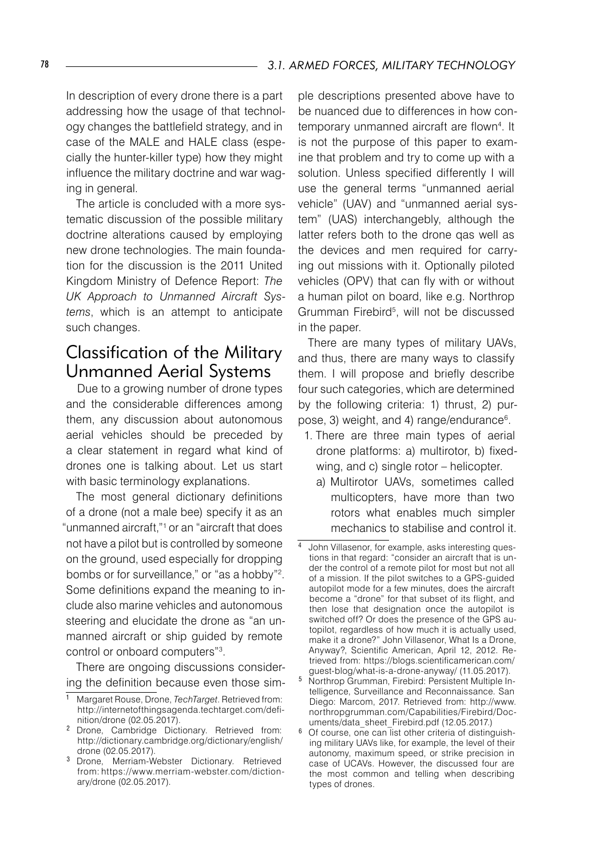In description of every drone there is a part addressing how the usage of that technology changes the battlefield strategy, and in case of the MALE and HALE class (especially the hunter-killer type) how they might influence the military doctrine and war waging in general.

The article is concluded with a more systematic discussion of the possible military doctrine alterations caused by employing new drone technologies. The main foundation for the discussion is the 2011 United Kingdom Ministry of Defence Report: *The UK Approach to Unmanned Aircraft Systems*, which is an attempt to anticipate such changes.

# Classification of the Military Unmanned Aerial Systems

Due to a growing number of drone types and the considerable differences among them, any discussion about autonomous aerial vehicles should be preceded by a clear statement in regard what kind of drones one is talking about. Let us start with basic terminology explanations.

The most general dictionary definitions of a drone (not a male bee) specify it as an "unmanned aircraft,"<sup>1</sup> or an "aircraft that does not have a pilot but is controlled by someone on the ground, used especially for dropping bombs or for surveillance," or "as a hobby"<sup>2</sup>. Some definitions expand the meaning to include also marine vehicles and autonomous steering and elucidate the drone as "an unmanned aircraft or ship guided by remote control or onboard computers" .

There are ongoing discussions considering the definition because even those simple descriptions presented above have to be nuanced due to differences in how contemporary unmanned aircraft are flown . It is not the purpose of this paper to examine that problem and try to come up with a solution. Unless specified differently I will use the general terms "unmanned aerial vehicle" (UAV) and "unmanned aerial system" (UAS) interchangebly, although the latter refers both to the drone qas well as the devices and men required for carrying out missions with it. Optionally piloted vehicles (OPV) that can fly with or without a human pilot on board, like e.g. Northrop Grumman Firebird<sup>5</sup>, will not be discussed in the paper.

There are many types of military UAVs, and thus, there are many ways to classify them. I will propose and briefly describe four such categories, which are determined by the following criteria: 1) thrust, 2) purpose, 3) weight, and 4) range/endurance .

- 1. There are three main types of aerial drone platforms: a) multirotor, b) fixedwing, and c) single rotor – helicopter.
	- a) Multirotor UAVs, sometimes called multicopters, have more than two rotors what enables much simpler mechanics to stabilise and control it.

Margaret Rouse, Drone, *TechTarget*. Retrieved from: http://internetofthingsagenda.techtarget.com/definition/drone (02.05.2017).

<sup>&</sup>lt;sup>2</sup> Drone, Cambridge Dictionary. Retrieved from: http://dictionary.cambridge.org/dictionary/english/ drone (02.05.2017).

<sup>&</sup>lt;sup>3</sup> Drone, Merriam-Webster Dictionary. Retrieved from: https://www.merriam-webster.com/dictionary/drone (02.05.2017).

John Villasenor, for example, asks interesting questions in that regard: "consider an aircraft that is under the control of a remote pilot for most but not all of a mission. If the pilot switches to a GPS-guided autopilot mode for a few minutes, does the aircraft become a "drone" for that subset of its flight, and then lose that designation once the autopilot is switched off? Or does the presence of the GPS autopilot, regardless of how much it is actually used, make it a drone?" John Villasenor, What Is a Drone, Anyway?, Scientific American, April 12, 2012. Retrieved from: https://blogs.scientificamerican.com/ guest-blog/what-is-a-drone-anyway/ (11.05.2017).

Northrop Grumman, Firebird: Persistent Multiple Intelligence, Surveillance and Reconnaissance. San Diego: Marcom, 2017. Retrieved from: http://www. northropgrumman.com/Capabilities/Firebird/Documents/data\_sheet\_Firebird.pdf (12.05.2017.)

 $6$  Of course, one can list other criteria of distinguishing military UAVs like, for example, the level of their autonomy, maximum speed, or strike precision in case of UCAVs. However, the discussed four are the most common and telling when describing types of drones.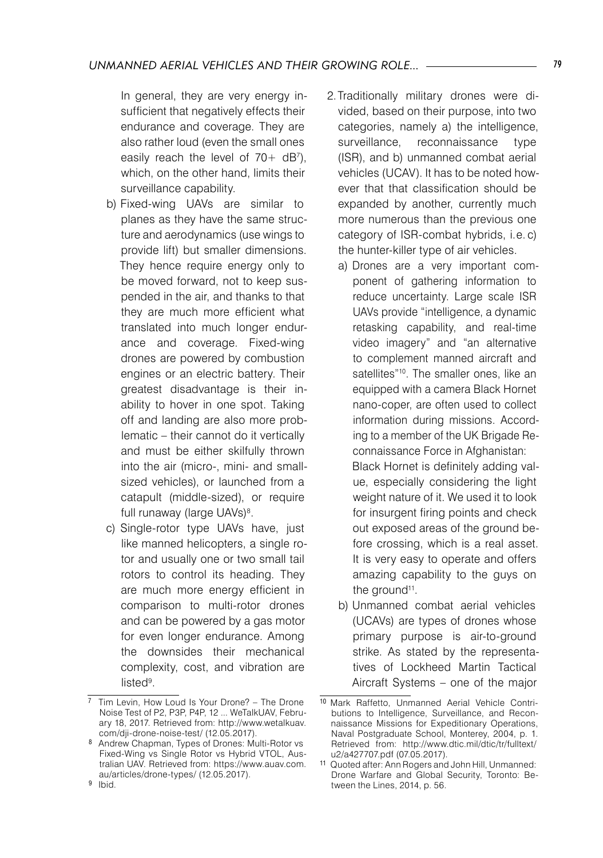In general, they are very energy insufficient that negatively effects their endurance and coverage. They are also rather loud (even the small ones easily reach the level of  $70+dB<sup>7</sup>$ ), which, on the other hand, limits their surveillance capability.

- b) Fixed-wing UAVs are similar to planes as they have the same structure and aerodynamics (use wings to provide lift) but smaller dimensions. They hence require energy only to be moved forward, not to keep suspended in the air, and thanks to that they are much more efficient what translated into much longer endurance and coverage. Fixed-wing drones are powered by combustion engines or an electric battery. Their greatest disadvantage is their inability to hover in one spot. Taking off and landing are also more problematic – their cannot do it vertically and must be either skilfully thrown into the air (micro-, mini- and smallsized vehicles), or launched from a catapult (middle-sized), or require full runaway (large UAVs) .
- c) Single-rotor type UAVs have, just like manned helicopters, a single rotor and usually one or two small tail rotors to control its heading. They are much more energy efficient in comparison to multi-rotor drones and can be powered by a gas motor for even longer endurance. Among the downsides their mechanical complexity, cost, and vibration are listed .
- 2.Traditionally military drones were divided, based on their purpose, into two categories, namely a) the intelligence, surveillance, reconnaissance type (ISR), and b) unmanned combat aerial vehicles (UCAV). It has to be noted however that that classification should be expanded by another, currently much more numerous than the previous one category of ISR-combat hybrids, i.e. c) the hunter-killer type of air vehicles.
	- a) Drones are a very important component of gathering information to reduce uncertainty. Large scale ISR UAVs provide "intelligence, a dynamic retasking capability, and real-time video imagery" and "an alternative to complement manned aircraft and satellites"<sup>10</sup>. The smaller ones, like an equipped with a camera Black Hornet nano-coper, are often used to collect information during missions. According to a member of the UK Brigade Reconnaissance Force in Afghanistan: Black Hornet is definitely adding value, especially considering the light weight nature of it. We used it to look for insurgent firing points and check out exposed areas of the ground before crossing, which is a real asset. It is very easy to operate and offers amazing capability to the guys on the ground<sup>11</sup>.
	- b) Unmanned combat aerial vehicles (UCAVs) are types of drones whose primary purpose is air-to-ground strike. As stated by the representatives of Lockheed Martin Tactical Aircraft Systems – one of the major

<sup>&</sup>lt;sup>7</sup> Tim Levin, How Loud Is Your Drone? – The Drone Noise Test of P2, P3P, P4P, 12 ... WeTalkUAV, February 18, 2017. Retrieved from: http://www.wetalkuav. com/dji-drone-noise-test/ (12.05.2017).

<sup>8</sup> Andrew Chapman, Types of Drones: Multi-Rotor vs Fixed-Wing vs Single Rotor vs Hybrid VTOL, Australian UAV. Retrieved from: https://www.auav.com. au/articles/drone-types/ (12.05.2017).

<sup>&</sup>lt;sup>9</sup> Ibid.

<sup>10</sup> Mark Raffetto, Unmanned Aerial Vehicle Contributions to Intelligence, Surveillance, and Reconnaissance Missions for Expeditionary Operations, Naval Postgraduate School, Monterey, 2004, p. 1. Retrieved from: http://www.dtic.mil/dtic/tr/fulltext/ u2/a427707.pdf (07.05.2017).

<sup>11</sup> Quoted after: Ann Rogers and John Hill, Unmanned: Drone Warfare and Global Security, Toronto: Between the Lines, 2014, p. 56.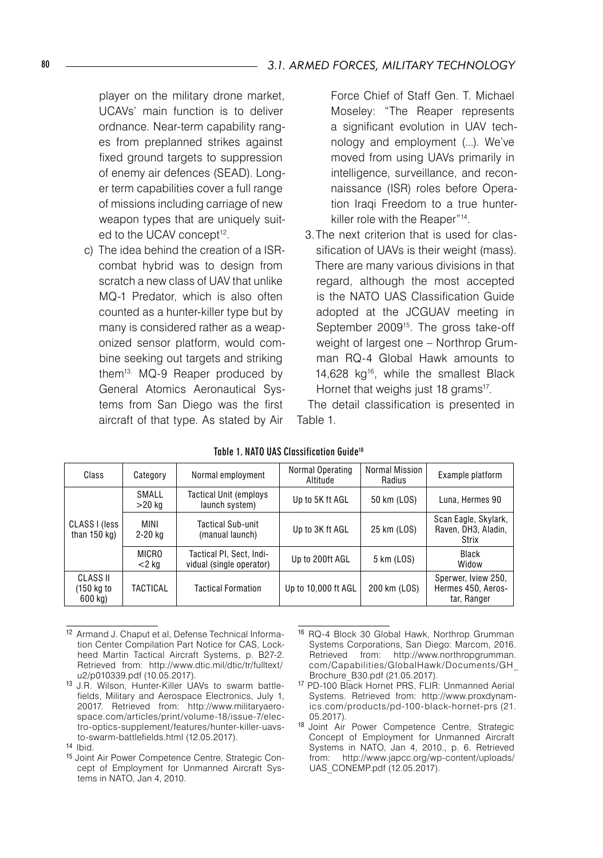player on the military drone market, UCAVs' main function is to deliver ordnance. Near-term capability ranges from preplanned strikes against fixed ground targets to suppression of enemy air defences (SEAD). Longer term capabilities cover a full range of missions including carriage of new weapon types that are uniquely suited to the UCAV concept<sup>12</sup>.

c) The idea behind the creation of a ISRcombat hybrid was to design from scratch a new class of UAV that unlike MQ-1 Predator, which is also often counted as a hunter-killer type but by many is considered rather as a weaponized sensor platform, would combine seeking out targets and striking them13. MQ-9 Reaper produced by General Atomics Aeronautical Systems from San Diego was the first aircraft of that type. As stated by Air

Force Chief of Staff Gen. T. Michael Moseley: "The Reaper represents a significant evolution in UAV technology and employment (...). We've moved from using UAVs primarily in intelligence, surveillance, and reconnaissance (ISR) roles before Operation Iraqi Freedom to a true hunterkiller role with the Reaper"14 .

3.The next criterion that is used for classification of UAVs is their weight (mass). There are many various divisions in that regard, although the most accepted is the NATO UAS Classification Guide adopted at the JCGUAV meeting in September 2009<sup>15</sup>. The gross take-off weight of largest one – Northrop Grumman RQ-4 Global Hawk amounts to 14,628 kg16 , while the smallest Black Hornet that weighs just 18 grams<sup>17</sup>.

The detail classification is presented in Table 1.

| Class                             | Category          | Normal employment                                    | Normal Operating<br>Altitude | Normal Mission<br>Radius | Example platform                                         |
|-----------------------------------|-------------------|------------------------------------------------------|------------------------------|--------------------------|----------------------------------------------------------|
| CLASS I (less<br>than $150$ kg)   | SMALL<br>$>20$ kg | <b>Tactical Unit (employs)</b><br>launch system)     | Up to 5K ft AGL              | 50 km (LOS)              | Luna, Hermes 90                                          |
|                                   | MINI<br>2-20 kg   | Tactical Sub-unit<br>(manual launch)                 | Up to 3K ft AGL              | 25 km (LOS)              | Scan Eagle, Skylark,<br>Raven, DH3, Aladin,<br>Strix     |
|                                   | MICRO<br>$<$ 2 kg | Tactical PI. Sect. Indi-<br>vidual (single operator) | Up to 200ft AGL              | 5 km (LOS)               | Black<br>Widow                                           |
| CLASS II<br>(150 kg to<br>600 kg) | TACTICAL          | <b>Tactical Formation</b>                            | Up to 10,000 ft AGL          | 200 km (LOS)             | Sperwer, Iview 250,<br>Hermes 450, Aeros-<br>tar, Ranger |

Table 1. NATO UAS Classification Guide18

- 12 Armand J. Chaput et al, Defense Technical Information Center Compilation Part Notice for CAS, Lockheed Martin Tactical Aircraft Systems, p. B27-2. Retrieved from: http://www.dtic.mil/dtic/tr/fulltext/ u2/p010339.pdf (10.05.2017).
- <sup>13</sup> J.R. Wilson, Hunter-Killer UAVs to swarm battlefields, Military and Aerospace Electronics, July 1, 20017. Retrieved from: http://www.militaryaerospace.com/articles/print/volume-18/issue-7/electro-optics-supplement/features/hunter-killer-uavsto-swarm-battlefields.html (12.05.2017).
- 15 Joint Air Power Competence Centre, Strategic Concept of Employment for Unmanned Aircraft Systems in NATO, Jan 4, 2010.
- <sup>16</sup> RQ-4 Block 30 Global Hawk, Northrop Grumman Systems Corporations, San Diego: Marcom, 2016. Retrieved from: http://www.northropgrumman. com/Capabilities/GlobalHawk/Documents/GH\_ Brochure\_B30.pdf (21.05.2017).
- <sup>17</sup> PD-100 Black Hornet PRS, FLIR: Unmanned Aerial Systems. Retrieved from: http://www.proxdynamics.com/products/pd-100-black-hornet-prs (21. 05.2017).
- <sup>18</sup> Joint Air Power Competence Centre, Strategic Concept of Employment for Unmanned Aircraft Systems in NATO, Jan 4, 2010., p. 6. Retrieved from: http://www.japcc.org/wp-content/uploads/ UAS\_CONEMP.pdf (12.05.2017).

<sup>14</sup> Ibid.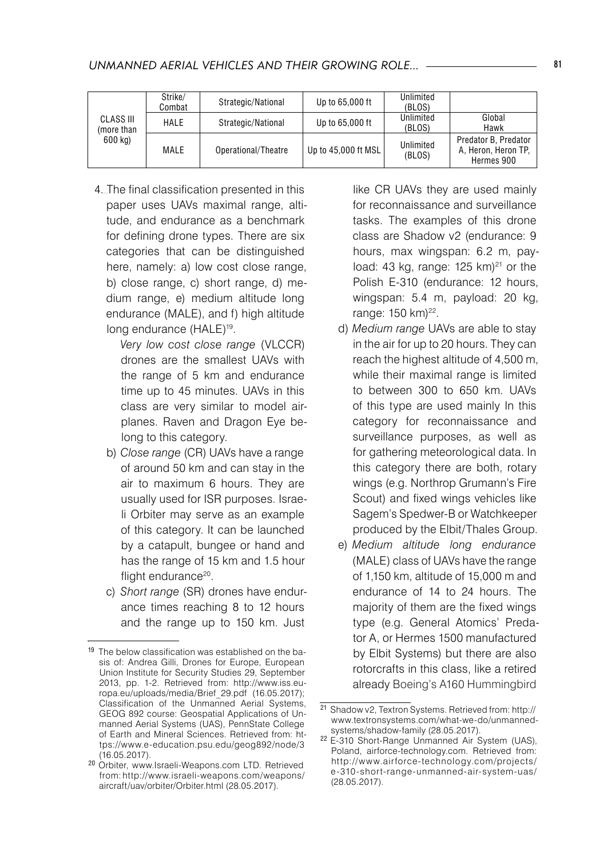| <b>CLASS III</b><br>(more than<br>600 kg) | Strike/<br>Combat | Strategic/National  | Up to 65,000 ft     | Unlimited<br>(BLOS) |                                                           |
|-------------------------------------------|-------------------|---------------------|---------------------|---------------------|-----------------------------------------------------------|
|                                           | HALE              | Strategic/National  | Up to 65,000 ft     | Unlimited<br>(BLOS) | Global<br>Hawk                                            |
|                                           | <b>MALE</b>       | Operational/Theatre | Up to 45,000 ft MSL | Unlimited<br>(BLOS) | Predator B. Predator<br>A. Heron. Heron TP.<br>Hermes 900 |

4. The final classification presented in this paper uses UAVs maximal range, altitude, and endurance as a benchmark for defining drone types. There are six categories that can be distinguished here, namely: a) low cost close range, b) close range, c) short range, d) medium range, e) medium altitude long endurance (MALE), and f) high altitude long endurance (HALE)<sup>19</sup>.

> *Very low cost close range* (VLCCR) drones are the smallest UAVs with the range of 5 km and endurance time up to 45 minutes. UAVs in this class are very similar to model airplanes. Raven and Dragon Eye belong to this category.

- b) *Close range* (CR) UAVs have a range of around 50 km and can stay in the air to maximum 6 hours. They are usually used for ISR purposes. Israeli Orbiter may serve as an example of this category. It can be launched by a catapult, bungee or hand and has the range of 15 km and 1.5 hour flight endurance<sup>20</sup>.
- c) *Short range* (SR) drones have endurance times reaching 8 to 12 hours and the range up to 150 km. Just

like CR UAVs they are used mainly for reconnaissance and surveillance tasks. The examples of this drone class are Shadow v2 (endurance: 9 hours, max wingspan: 6.2 m, payload: 43 kg, range:  $125 \text{ km}$ <sup>21</sup> or the Polish E-310 (endurance: 12 hours, wingspan: 5.4 m, payload: 20 kg, range: 150 km)<sup>22</sup>.

- d) *Medium range* UAVs are able to stay in the air for up to 20 hours. They can reach the highest altitude of 4,500 m, while their maximal range is limited to between 300 to 650 km. UAVs of this type are used mainly In this category for reconnaissance and surveillance purposes, as well as for gathering meteorological data. In this category there are both, rotary wings (e.g. Northrop Grumann's Fire Scout) and fixed wings vehicles like Sagem's Spedwer-B or Watchkeeper produced by the Elbit/Thales Group.
- e) *Medium altitude long endurance* (MALE) class of UAVs have the range of 1,150 km, altitude of 15,000 m and endurance of 14 to 24 hours. The majority of them are the fixed wings type (e.g. General Atomics' Predator A, or Hermes 1500 manufactured by Elbit Systems) but there are also rotorcrafts in this class, like a retired already Boeing's A160 Hummingbird

<sup>19</sup> The below classification was established on the basis of: Andrea Gilli, Drones for Europe, European Union Institute for Security Studies 29, September 2013, pp. 1-2. Retrieved from: http://www.iss.europa.eu/uploads/media/Brief\_29.pdf (16.05.2017); Classification of the Unmanned Aerial Systems, GEOG 892 course: Geospatial Applications of Unmanned Aerial Systems (UAS), PennState College of Earth and Mineral Sciences. Retrieved from: https://www.e-education.psu.edu/geog892/node/3 (16.05.2017).

<sup>20</sup> Orbiter, www.Israeli-Weapons.com LTD. Retrieved from: http://www.israeli-weapons.com/weapons/ aircraft/uav/orbiter/Orbiter.html (28.05.2017).

<sup>21</sup> Shadow v2, Textron Systems. Retrieved from: http:// www.textronsystems.com/what-we-do/unmannedsystems/shadow-family (28.05.2017).

<sup>22</sup> E-310 Short-Range Unmanned Air System (UAS), Poland, airforce-technology.com. Retrieved from: http://www.airforce-technology.com/projects/ e-310-short-range-unmanned-air-system-uas/ (28.05.2017).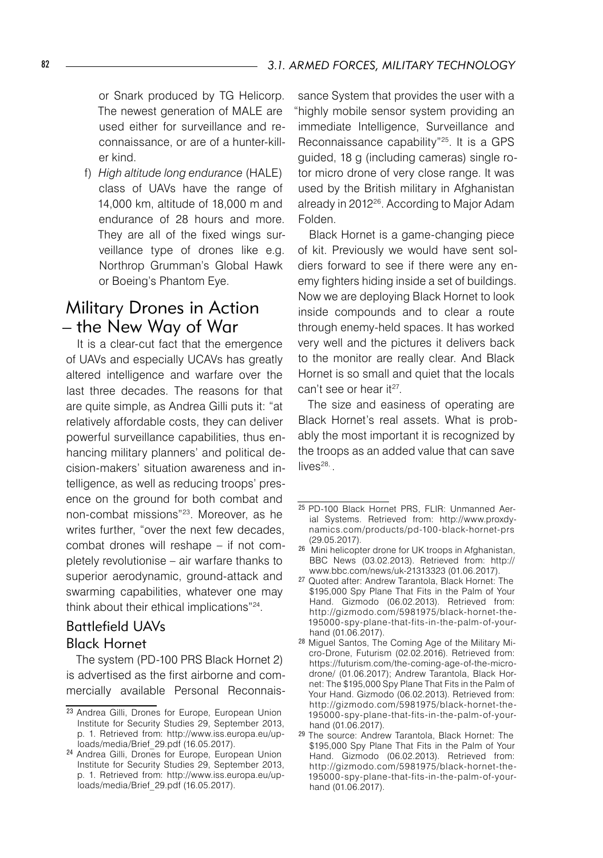or Snark produced by TG Helicorp. The newest generation of MALE are used either for surveillance and reconnaissance, or are of a hunter-killer kind.

f) *High altitude long endurance* (HALE) class of UAVs have the range of 14,000 km, altitude of 18,000 m and endurance of 28 hours and more. They are all of the fixed wings surveillance type of drones like e.g. Northrop Grumman's Global Hawk or Boeing's Phantom Eye.

### Military Drones in Action – the New Way of War

It is a clear-cut fact that the emergence of UAVs and especially UCAVs has greatly altered intelligence and warfare over the last three decades. The reasons for that are quite simple, as Andrea Gilli puts it: "at relatively affordable costs, they can deliver powerful surveillance capabilities, thus enhancing military planners' and political decision-makers' situation awareness and intelligence, as well as reducing troops' presence on the ground for both combat and non-combat missions"23 . Moreover, as he writes further, "over the next few decades, combat drones will reshape – if not completely revolutionise – air warfare thanks to superior aerodynamic, ground-attack and swarming capabilities, whatever one may think about their ethical implications"24 .

### Battlefield UAVs Black Hornet

The system (PD-100 PRS Black Hornet 2) is advertised as the first airborne and commercially available Personal Reconnais-

sance System that provides the user with a "highly mobile sensor system providing an immediate Intelligence, Surveillance and Reconnaissance capability"25. It is a GPS guided, 18 g (including cameras) single rotor micro drone of very close range. It was used by the British military in Afghanistan already in 2012<sup>26</sup>. According to Major Adam Folden.

Black Hornet is a game-changing piece of kit. Previously we would have sent soldiers forward to see if there were any enemy fighters hiding inside a set of buildings. Now we are deploying Black Hornet to look inside compounds and to clear a route through enemy-held spaces. It has worked very well and the pictures it delivers back to the monitor are really clear. And Black Hornet is so small and quiet that the locals can't see or hear it<sup>27</sup>.

The size and easiness of operating are Black Hornet's real assets. What is probably the most important it is recognized by the troops as an added value that can save  $lives^{28}$ .

<sup>23</sup> Andrea Gilli, Drones for Europe, European Union Institute for Security Studies 29, September 2013, p. 1. Retrieved from: http://www.iss.europa.eu/uploads/media/Brief\_29.pdf (16.05.2017).

<sup>24</sup> Andrea Gilli, Drones for Europe, European Union Institute for Security Studies 29, September 2013, p. 1. Retrieved from: http://www.iss.europa.eu/uploads/media/Brief\_29.pdf (16.05.2017).

<sup>25</sup> PD-100 Black Hornet PRS, FLIR: Unmanned Aerial Systems. Retrieved from: http://www.proxdynamics.com/products/pd-100-black-hornet-prs (29.05.2017).

<sup>26</sup> Mini helicopter drone for UK troops in Afghanistan, BBC News (03.02.2013). Retrieved from: http:// www.bbc.com/news/uk-21313323 (01.06.2017).

<sup>27</sup> Quoted after: Andrew Tarantola, Black Hornet: The \$195,000 Spy Plane That Fits in the Palm of Your Hand. Gizmodo (06.02.2013). Retrieved from: http://gizmodo.com/5981975/black-hornet-the-195000-spy-plane-that-fits-in-the-palm-of-yourhand (01.06.2017).

<sup>28</sup> Miguel Santos, The Coming Age of the Military Micro-Drone, Futurism (02.02.2016). Retrieved from: https://futurism.com/the-coming-age-of-the-microdrone/ (01.06.2017); Andrew Tarantola, Black Hornet: The \$195,000 Spy Plane That Fits in the Palm of Your Hand. Gizmodo (06.02.2013). Retrieved from: http://gizmodo.com/5981975/black-hornet-the-195000-spy-plane-that-fits-in-the-palm-of-yourhand (01.06.2017).

<sup>29</sup> The source: Andrew Tarantola, Black Hornet: The \$195,000 Spy Plane That Fits in the Palm of Your Hand. Gizmodo (06.02.2013). Retrieved from: http://gizmodo.com/5981975/black-hornet-the-195000-spy-plane-that-fits-in-the-palm-of-yourhand (01.06.2017).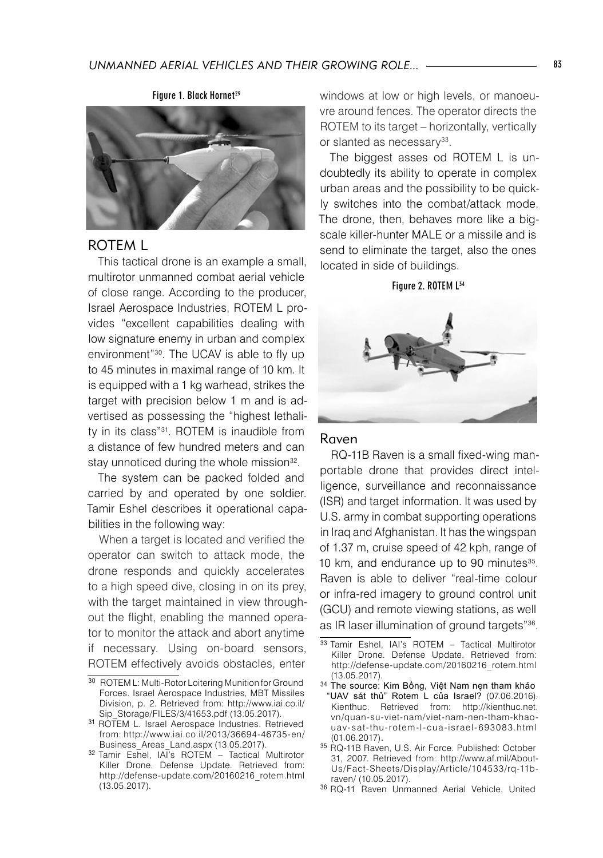

### ROTEM L

This tactical drone is an example a small, multirotor unmanned combat aerial vehicle of close range. According to the producer, Israel Aerospace Industries, ROTEM L provides "excellent capabilities dealing with low signature enemy in urban and complex environment"30 . The UCAV is able to fly up to 45 minutes in maximal range of 10 km. It is equipped with a 1 kg warhead, strikes the target with precision below 1 m and is advertised as possessing the "highest lethality in its class"31 . ROTEM is inaudible from a distance of few hundred meters and can stay unnoticed during the whole mission<sup>32</sup>.

The system can be packed folded and carried by and operated by one soldier. Tamir Eshel describes it operational capabilities in the following way:

When a target is located and verified the operator can switch to attack mode, the drone responds and quickly accelerates to a high speed dive, closing in on its prey, with the target maintained in view throughout the flight, enabling the manned operator to monitor the attack and abort anytime if necessary. Using on-board sensors, ROTEM effectively avoids obstacles, enter

windows at low or high levels, or manoeuvre around fences. The operator directs the ROTEM to its target – horizontally, vertically or slanted as necessary<sup>33</sup>.

The biggest asses od ROTEM L is undoubtedly its ability to operate in complex urban areas and the possibility to be quickly switches into the combat/attack mode. The drone, then, behaves more like a bigscale killer-hunter MALE or a missile and is send to eliminate the target, also the ones located in side of buildings.

#### Figure 2. ROTEM L34



### Raven

RQ-11B Raven is a small fixed-wing manportable drone that provides direct intelligence, surveillance and reconnaissance (ISR) and target information. It was used by U.S. army in combat supporting operations in Iraq and Afghanistan. It has the wingspan of 1.37 m, cruise speed of 42 kph, range of 10 km, and endurance up to 90 minutes<sup>35</sup>. Raven is able to deliver "real-time colour or infra-red imagery to ground control unit (GCU) and remote viewing stations, as well as IR laser illumination of ground targets"36.

<sup>30</sup> ROTEM L: Multi-Rotor Loitering Munition for Ground Forces. Israel Aerospace Industries, MBT Missiles Division, p. 2. Retrieved from: http://www.iai.co.il/ Sip\_Storage/FILES/3/41653.pdf (13.05.2017).

<sup>31</sup> ROTEM L. Israel Aerospace Industries. Retrieved from: http://www.iai.co.il/2013/36694-46735-en/ Business\_Areas\_Land.aspx (13.05.2017).

<sup>32</sup> Tamir Eshel, IAI's ROTEM – Tactical Multirotor Killer Drone. Defense Update. Retrieved from: http://defense-update.com/20160216\_rotem.html (13.05.2017).

<sup>33</sup> Tamir Eshel, IAI's ROTEM - Tactical Multirotor Killer Drone. Defense Update. Retrieved from: http://defense-update.com/20160216\_rotem.html (13.05.2017).

<sup>34</sup> The source: Kim Bồng, Việt Nam nęn tham khảo "UAV sát thủ" Rotem L của Israel? (07.06.2016). Kienthuc. Retrieved from: http://kienthuc.net. vn/quan-su-viet-nam/viet-nam-nen-tham-khaouav-sat-thu-rotem-l-cua-israel-693083.html<br>(01.06.2017).

<sup>&</sup>lt;sup>35</sup> RQ-11B Raven, U.S. Air Force. Published: October 31, 2007. Retrieved from: http://www.af.mil/About-Us/Fact-Sheets/Display/Article/104533/rq-11braven/ (10.05.2017).

<sup>36</sup> RQ-11 Raven Unmanned Aerial Vehicle, United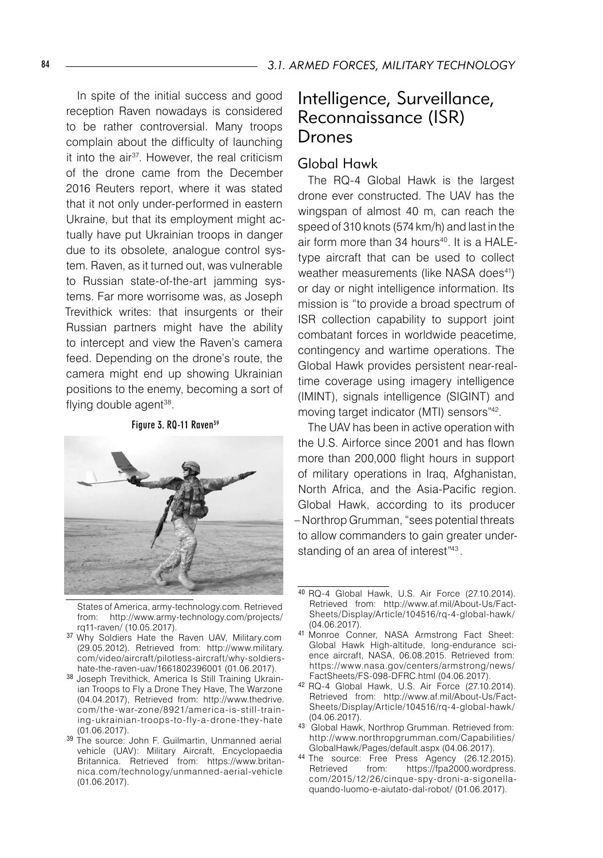In spite of the initial success and good reception Raven nowadays is considered to be rather controversial. Many troops complain about the difficulty of launching it into the air37 . However, the real criticism of the drone came from the December 2016 Reuters report, where it was stated that it not only under-performed in eastern Ukraine, but that its employment might actually have put Ukrainian troops in danger due to its obsolete, analogue control system. Raven, as it turned out, was vulnerable to Russian state-of-the-art jamming systems. Far more worrisome was, as Joseph Trevithick writes: that insurgents or their Russian partners might have the ability to intercept and view the Raven's camera feed. Depending on the drone's route, the camera might end up showing Ukrainian positions to the enemy, becoming a sort of flying double agent<sup>38</sup>.

Figure 3. RQ-11 Raven<sup>39</sup>



States of America, army-technology.com. Retrieved from: http://www.army-technology.com/projects/ rq11-raven/ (10.05.2017).

- <sup>37</sup> Why Soldiers Hate the Raven UAV, Military.com (29.05.2012). Retrieved from: http://www.military. com/video/aircraft/pilotless-aircraft/why-soldiershate-the-raven-uav/1661802396001 (01.06.2017).
- <sup>38</sup> Joseph Trevithick, America Is Still Training Ukrainian Troops to Fly a Drone They Have, The Warzone (04.04.2017), Retrieved from: http://www.thedrive. com/the-war-zone/8921/america-is-still-training-ukrainian-troops-to-fly-a-drone-they-hate (01.06.2017).
- 39 The source: John F. Guilmartin, Unmanned aerial vehicle (UAV): Military Aircraft, Encyclopaedia Britannica. Retrieved from: https://www.britannica.com/technology/unmanned-aerial-vehicle (01.06.2017).

# Intelligence, Surveillance, Reconnaissance (ISR) Drones

### Global Hawk

The RQ-4 Global Hawk is the largest drone ever constructed. The UAV has the wingspan of almost 40 m, can reach the speed of 310 knots (574 km/h) and last in the air form more than 34 hours<sup>40</sup>. It is a HALEtype aircraft that can be used to collect weather measurements (like NASA does<sup>41</sup>) or day or night intelligence information. Its mission is "to provide a broad spectrum of ISR collection capability to support joint combatant forces in worldwide peacetime, contingency and wartime operations. The Global Hawk provides persistent near-realtime coverage using imagery intelligence (IMINT), signals intelligence (SIGINT) and moving target indicator (MTI) sensors"42 .

The UAV has been in active operation with the U.S. Airforce since 2001 and has flown more than 200,000 flight hours in support of military operations in Iraq, Afghanistan, North Africa, and the Asia-Pacific region. Global Hawk, according to its producer – Northrop Grumman, "sees potential threats to allow commanders to gain greater understanding of an area of interest"<sup>43</sup>.

- 43 Global Hawk, Northrop Grumman. Retrieved from: http://www.northropgrumman.com/Capabilities/ GlobalHawk/Pages/default.aspx (04.06.2017).
- 44 The source: Free Press Agency (26.12.2015).<br>Retrieved from: https://fpa2000.wordpress. https://fpa2000.wordpress. com/2015/12/26/cinque-spy-droni-a-sigonellaquando-luomo-e-aiutato-dal-robot/ (01.06.2017).

<sup>40</sup> RQ-4 Global Hawk, U.S. Air Force (27.10.2014). Retrieved from: http://www.af.mil/About-Us/Fact-Sheets/Display/Article/104516/rq-4-global-hawk/ (04.06.2017).

<sup>41</sup> Monroe Conner, NASA Armstrong Fact Sheet: Global Hawk High-altitude, long-endurance science aircraft, NASA, 06.08.2015. Retrieved from: https://www.nasa.gov/centers/armstrong/news/ FactSheets/FS-098-DFRC.html (04.06.2017).

<sup>42</sup> RQ-4 Global Hawk, U.S. Air Force (27.10.2014). Retrieved from: http://www.af.mil/About-Us/Fact-Sheets/Display/Article/104516/rq-4-global-hawk/ (04.06.2017).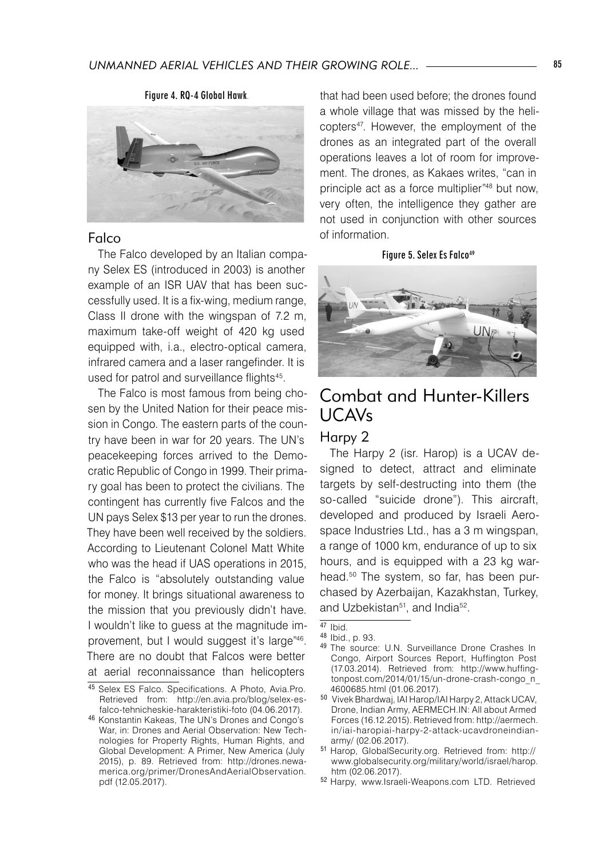

### Falco

The Falco developed by an Italian company Selex ES (introduced in 2003) is another example of an ISR UAV that has been successfully used. It is a fix-wing, medium range, Class II drone with the wingspan of 7.2 m, maximum take-off weight of 420 kg used equipped with, i.a., electro-optical camera, infrared camera and a laser rangefinder. It is used for patrol and surveillance flights<sup>45</sup>.

The Falco is most famous from being chosen by the United Nation for their peace mission in Congo. The eastern parts of the country have been in war for 20 years. The UN's peacekeeping forces arrived to the Democratic Republic of Congo in 1999. Their primary goal has been to protect the civilians. The contingent has currently five Falcos and the UN pays Selex \$13 per year to run the drones. They have been well received by the soldiers. According to Lieutenant Colonel Matt White who was the head if UAS operations in 2015, the Falco is "absolutely outstanding value for money. It brings situational awareness to the mission that you previously didn't have. I wouldn't like to guess at the magnitude improvement, but I would suggest it's large"46. There are no doubt that Falcos were better at aerial reconnaissance than helicopters

that had been used before; the drones found a whole village that was missed by the helicopters47 . However, the employment of the drones as an integrated part of the overall operations leaves a lot of room for improvement. The drones, as Kakaes writes, "can in principle act as a force multiplier"48 but now, very often, the intelligence they gather are not used in conjunction with other sources of information.

#### Figure 5. Selex Es Falco<sup>49</sup>



### Combat and Hunter-Killers UCAVs Harpy 2

The Harpy 2 (isr. Harop) is a UCAV designed to detect, attract and eliminate targets by self-destructing into them (the so-called "suicide drone"). This aircraft, developed and produced by Israeli Aerospace Industries Ltd., has a 3 m wingspan, a range of 1000 km, endurance of up to six hours, and is equipped with a 23 kg warhead.<sup>50</sup> The system, so far, has been purchased by Azerbaijan, Kazakhstan, Turkey, and Uzbekistan<sup>51</sup>, and India<sup>52</sup>.

<sup>45</sup> Selex ES Falco. Specifications. A Photo, Avia.Pro. Retrieved from: http://en.avia.pro/blog/selex-esfalco-tehnicheskie-harakteristiki-foto (04.06.2017).

<sup>46</sup> Konstantin Kakeas, The UN's Drones and Congo's War, in: Drones and Aerial Observation: New Technologies for Property Rights, Human Rights, and Global Development: A Primer, New America (July 2015), p. 89. Retrieved from: http://drones.newamerica.org/primer/DronesAndAerialObservation. pdf (12.05.2017).

<sup>47</sup> Ibid.

<sup>48</sup> Ibid., p. 93.

<sup>49</sup> The source: U.N. Surveillance Drone Crashes In Congo, Airport Sources Report, Huffington Post (17.03.2014). Retrieved from: http://www.huffingtonpost.com/2014/01/15/un-drone-crash-congo\_n\_ 4600685.html (01.06.2017).

<sup>50</sup> Vivek Bhardwaj, IAI Harop/IAI Harpy 2, Attack UCAV, Drone, Indian Army, AERMECH.IN: All about Armed Forces (16.12.2015). Retrieved from: http://aermech. in/iai-haropiai-harpy-2-attack-ucavdroneindianarmy/ (02.06.2017).

<sup>51</sup> Harop, GlobalSecurity.org. Retrieved from: http:// www.globalsecurity.org/military/world/israel/harop. htm (02.06.2017).

<sup>52</sup> Harpy, www.Israeli-Weapons.com LTD. Retrieved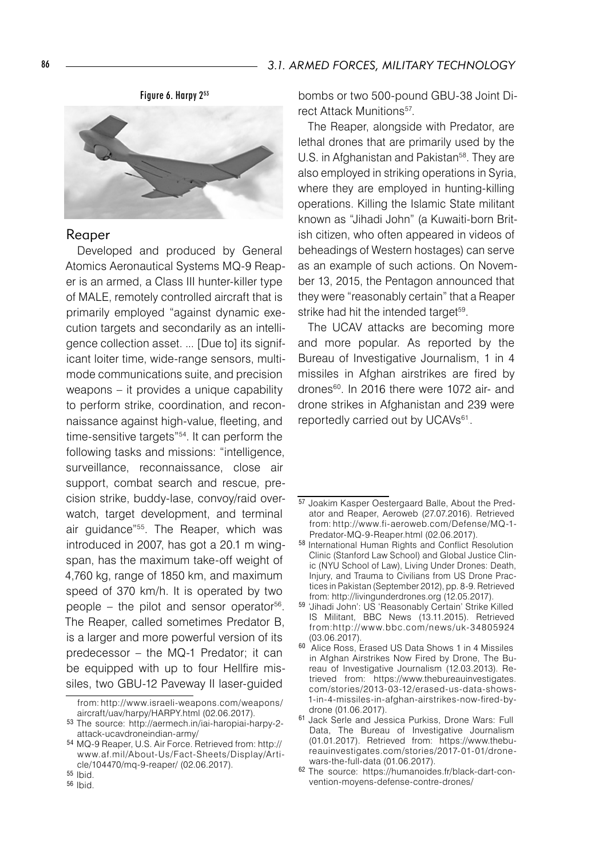Figure 6. Harpy 253



#### Reaper

Developed and produced by General Atomics Aeronautical Systems MQ-9 Reaper is an armed, a Class III hunter-killer type of MALE, remotely controlled aircraft that is primarily employed "against dynamic execution targets and secondarily as an intelligence collection asset. ... [Due to] its significant loiter time, wide-range sensors, multimode communications suite, and precision weapons – it provides a unique capability to perform strike, coordination, and reconnaissance against high-value, fleeting, and time-sensitive targets"54 . It can perform the following tasks and missions: "intelligence, surveillance, reconnaissance, close air support, combat search and rescue, precision strike, buddy-lase, convoy/raid overwatch, target development, and terminal air guidance"55. The Reaper, which was introduced in 2007, has got a 20.1 m wingspan, has the maximum take-off weight of 4,760 kg, range of 1850 km, and maximum speed of 370 km/h. It is operated by two people – the pilot and sensor operator<sup>56</sup>. The Reaper, called sometimes Predator B, is a larger and more powerful version of its predecessor – the MQ-1 Predator; it can be equipped with up to four Hellfire missiles, two GBU-12 Paveway II laser-guided

bombs or two 500-pound GBU-38 Joint Direct Attack Munitions<sup>57</sup>.

The Reaper, alongside with Predator, are lethal drones that are primarily used by the U.S. in Afghanistan and Pakistan<sup>ss</sup>. They are also employed in striking operations in Syria, where they are employed in hunting-killing operations. Killing the Islamic State militant known as "Jihadi John" (a Kuwaiti-born British citizen, who often appeared in videos of beheadings of Western hostages) can serve as an example of such actions. On November 13, 2015, the Pentagon announced that they were "reasonably certain" that a Reaper strike had hit the intended target<sup>59</sup>.

The UCAV attacks are becoming more and more popular. As reported by the Bureau of Investigative Journalism, 1 in 4 missiles in Afghan airstrikes are fired by drones60 . In 2016 there were 1072 air- and drone strikes in Afghanistan and 239 were reportedly carried out by UCAVs<sup>61</sup>.

from: http://www.israeli-weapons.com/weapons/ aircraft/uav/harpy/HARPY.html (02.06.2017).

<sup>53</sup> The source: http://aermech.in/iai-haropiai-harpy-2 attack-ucavdroneindian-army/

<sup>54</sup> MQ-9 Reaper, U.S. Air Force. Retrieved from: http:// www.af.mil/About-Us/Fact-Sheets/Display/Article/104470/mq-9-reaper/ (02.06.2017).

<sup>55</sup> Ibid.

<sup>56</sup> Ibid.

 $\overline{57}$  Joakim Kasper Oestergaard Balle, About the Predator and Reaper, Aeroweb (27.07.2016). Retrieved from: http://www.fi-aeroweb.com/Defense/MQ-1- Predator-MQ-9-Reaper.html (02.06.2017).

<sup>58</sup> International Human Rights and Conflict Resolution Clinic (Stanford Law School) and Global Justice Clinic (NYU School of Law), Living Under Drones: Death, Injury, and Trauma to Civilians from US Drone Practices in Pakistan (September 2012), pp. 8-9. Retrieved from: http://livingunderdrones.org (12.05.2017).

<sup>59</sup> 'Jihadi John': US 'Reasonably Certain' Strike Killed IS Militant, BBC News (13.11.2015). Retrieved from:http://w w w.bbc.com/news/uk-34805924 (03.06.2017).

<sup>60</sup> Alice Ross, Erased US Data Shows 1 in 4 Missiles in Afghan Airstrikes Now Fired by Drone, The Bureau of Investigative Journalism (12.03.2013). Retrieved from: https://www.thebureauinvestigates. com/stories/2013-03-12/erased-us-data-shows-1-in-4-missiles-in-afghan-airstrikes-now-fired-bydrone (01.06.2017).

<sup>61</sup> Jack Serle and Jessica Purkiss, Drone Wars: Full Data, The Bureau of Investigative Journalism (01.01.2017). Retrieved from: https://www.thebureauinvestigates.com/stories/2017-01-01/dronewars-the-full-data (01.06.2017).

<sup>62</sup> The source: https://humanoides.fr/black-dart-convention-moyens-defense-contre-drones/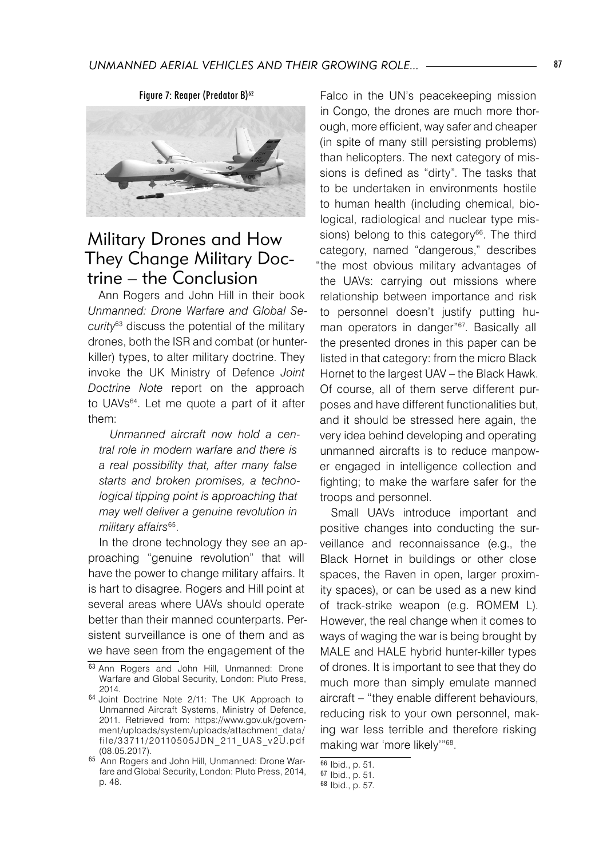

# Military Drones and How They Change Military Doctrine – the Conclusion

Ann Rogers and John Hill in their book *Unmanned: Drone Warfare and Global Security*63 discuss the potential of the military drones, both the ISR and combat (or hunterkiller) types, to alter military doctrine. They invoke the UK Ministry of Defence *Joint Doctrine Note* report on the approach to UAVs64. Let me quote a part of it after them:

*Unmanned aircraft now hold a central role in modern warfare and there is a real possibility that, after many false starts and broken promises, a technological tipping point is approaching that may well deliver a genuine revolution in military affairs*<sup>65</sup> .

In the drone technology they see an approaching "genuine revolution" that will have the power to change military affairs. It is hart to disagree. Rogers and Hill point at several areas where UAVs should operate better than their manned counterparts. Persistent surveillance is one of them and as we have seen from the engagement of the

Falco in the UN's peacekeeping mission in Congo, the drones are much more thorough, more efficient, way safer and cheaper (in spite of many still persisting problems) than helicopters. The next category of missions is defined as "dirty". The tasks that to be undertaken in environments hostile to human health (including chemical, biological, radiological and nuclear type missions) belong to this category $66$ . The third category, named "dangerous," describes "the most obvious military advantages of the UAVs: carrying out missions where relationship between importance and risk to personnel doesn't justify putting human operators in danger"67 . Basically all the presented drones in this paper can be listed in that category: from the micro Black Hornet to the largest UAV – the Black Hawk. Of course, all of them serve different purposes and have different functionalities but, and it should be stressed here again, the very idea behind developing and operating unmanned aircrafts is to reduce manpower engaged in intelligence collection and fighting; to make the warfare safer for the troops and personnel.

Small UAVs introduce important and positive changes into conducting the surveillance and reconnaissance (e.g., the Black Hornet in buildings or other close spaces, the Raven in open, larger proximity spaces), or can be used as a new kind of track-strike weapon (e.g. ROMEM L). However, the real change when it comes to ways of waging the war is being brought by MALE and HALE hybrid hunter-killer types of drones. It is important to see that they do much more than simply emulate manned aircraft – "they enable different behaviours, reducing risk to your own personnel, making war less terrible and therefore risking making war 'more likely'"68.

<sup>63</sup> Ann Rogers and John Hill, Unmanned: Drone Warfare and Global Security, London: Pluto Press, 2014.

<sup>64</sup> Joint Doctrine Note 2/11: The UK Approach to Unmanned Aircraft Systems, Ministry of Defence, 2011. Retrieved from: https://www.gov.uk/government/uploads/system/uploads/attachment\_data/ file/33711/20110 50 5 JDN \_ 211\_UAS \_v 2U.pdf (08.05.2017).

<sup>65</sup> Ann Rogers and John Hill, Unmanned: Drone Warfare and Global Security, London: Pluto Press, 2014, p. 48.

 $\frac{66}{66}$  Ibid., p. 51.

<sup>67</sup> Ibid., p. 51.

<sup>68</sup> Ibid., p. 57.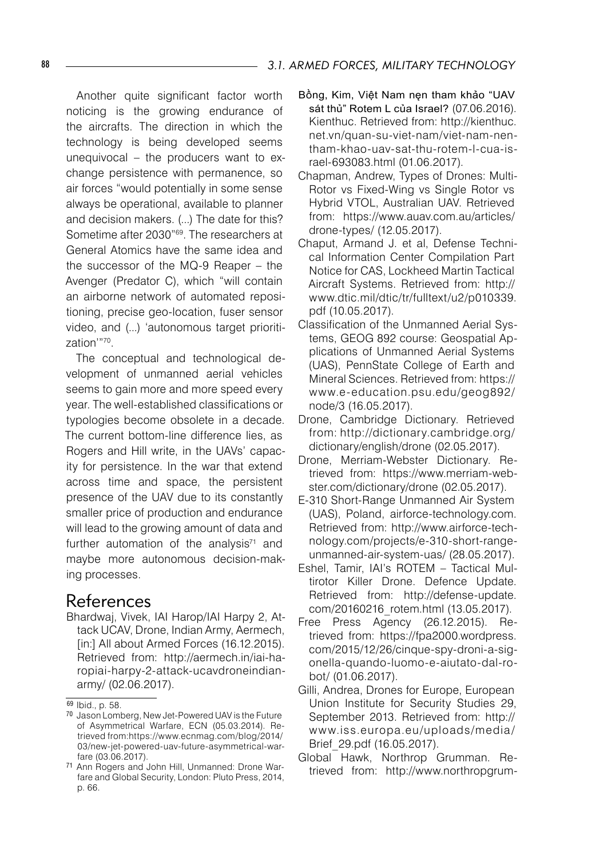Another quite significant factor worth noticing is the growing endurance of the aircrafts. The direction in which the technology is being developed seems unequivocal – the producers want to exchange persistence with permanence, so air forces "would potentially in some sense always be operational, available to planner and decision makers. (...) The date for this? Sometime after 2030"<sup>69</sup>. The researchers at General Atomics have the same idea and the successor of the MQ-9 Reaper – the Avenger (Predator C), which "will contain an airborne network of automated repositioning, precise geo-location, fuser sensor video, and (...) 'autonomous target prioritization'"70.

The conceptual and technological development of unmanned aerial vehicles seems to gain more and more speed every year. The well-established classifications or typologies become obsolete in a decade. The current bottom-line difference lies, as Rogers and Hill write, in the UAVs' capacity for persistence. In the war that extend across time and space, the persistent presence of the UAV due to its constantly smaller price of production and endurance will lead to the growing amount of data and further automation of the analysis $71$  and maybe more autonomous decision-making processes.

### References

Bhardwaj, Vivek, IAI Harop/IAI Harpy 2, Attack UCAV, Drone, Indian Army, Aermech, [in:] All about Armed Forces (16.12.2015). Retrieved from: http://aermech.in/iai-haropiai-harpy-2-attack-ucavdroneindianarmy/ (02.06.2017).

- Bồng, Kim, Việt Nam nęn tham khảo "UAV sát thủ" Rotem L của Israel? (07.06.2016). Kienthuc. Retrieved from: http://kienthuc. net.vn/quan-su-viet-nam/viet-nam-nentham-khao-uav-sat-thu-rotem-l-cua-israel-693083.html (01.06.2017).
- Chapman, Andrew, Types of Drones: Multi-Rotor vs Fixed-Wing vs Single Rotor vs Hybrid VTOL, Australian UAV. Retrieved from: https://www.auav.com.au/articles/ drone-types/ (12.05.2017).
- Chaput, Armand J. et al, Defense Technical Information Center Compilation Part Notice for CAS, Lockheed Martin Tactical Aircraft Systems. Retrieved from: http:// www.dtic.mil/dtic/tr/fulltext/u2/p010339. pdf (10.05.2017).
- Classification of the Unmanned Aerial Systems, GEOG 892 course: Geospatial Applications of Unmanned Aerial Systems (UAS), PennState College of Earth and Mineral Sciences. Retrieved from: https:// www.e-education.psu.edu/geog892/ node/3 (16.05.2017).
- Drone, Cambridge Dictionary. Retrieved from: http://dictionary.cambridge.org/ dictionary/english/drone (02.05.2017).
- Drone, Merriam-Webster Dictionary. Retrieved from: https://www.merriam-webster.com/dictionary/drone (02.05.2017).
- E-310 Short-Range Unmanned Air System (UAS), Poland, airforce-technology.com. Retrieved from: http://www.airforce-technology.com/projects/e-310-short-rangeunmanned-air-system-uas/ (28.05.2017).
- Eshel, Tamir, IAI's ROTEM Tactical Multirotor Killer Drone. Defence Update. Retrieved from: http://defense-update. com/20160216\_rotem.html (13.05.2017).
- Free Press Agency (26.12.2015). Retrieved from: https://fpa2000.wordpress. com/2015/12/26/cinque-spy-droni-a-sigonella-quando-luomo-e-aiutato-dal-robot/ (01.06.2017).
- Gilli, Andrea, Drones for Europe, European Union Institute for Security Studies 29, September 2013. Retrieved from: http:// w w w.iss.europa.eu/uploads/media/ Brief\_29.pdf (16.05.2017).
- Global Hawk, Northrop Grumman. Retrieved from: http://www.northropgrum-

<sup>69</sup> Ibid., p. 58.

<sup>70</sup> Jason Lomberg, New Jet-Powered UAV is the Future of Asymmetrical Warfare, ECN (05.03.2014). Retrieved from:https://www.ecnmag.com/blog/2014/ 03/new-jet-powered-uav-future-asymmetrical-warfare (03.06.2017).

<sup>71</sup> Ann Rogers and John Hill, Unmanned: Drone Warfare and Global Security, London: Pluto Press, 2014, p. 66.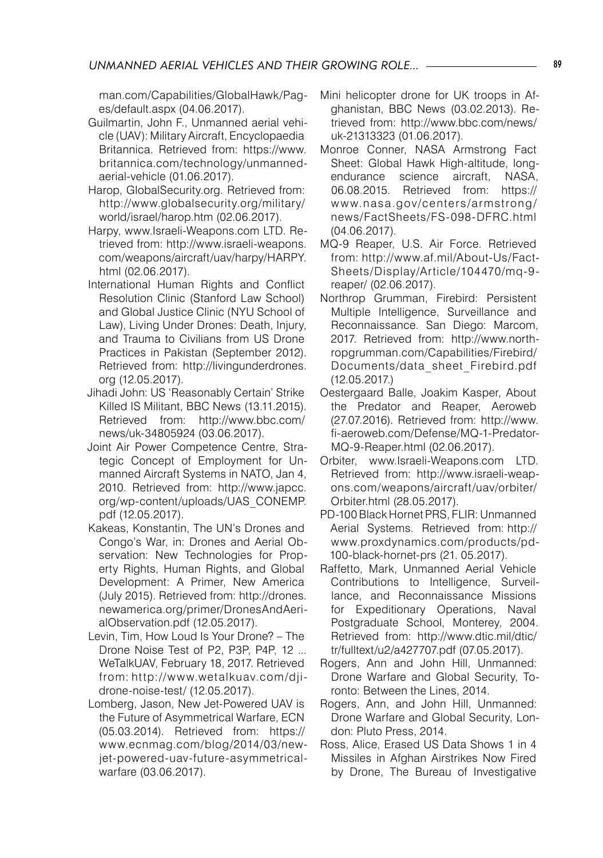man.com/Capabilities/GlobalHawk/Pages/default.aspx (04.06.2017).

- Guilmartin, John F., Unmanned aerial vehicle (UAV): Military Aircraft, Encyclopaedia Britannica. Retrieved from: https://www. britannica.com/technology/unmannedaerial-vehicle (01.06.2017).
- Harop, GlobalSecurity.org. Retrieved from: http://www.globalsecurity.org/military/ world/israel/harop.htm (02.06.2017).
- Harpy, www.Israeli-Weapons.com LTD. Retrieved from: http://www.israeli-weapons. com/weapons/aircraft/uav/harpy/HARPY. html (02.06.2017).
- International Human Rights and Conflict Resolution Clinic (Stanford Law School) and Global Justice Clinic (NYU School of Law), Living Under Drones: Death, Injury, and Trauma to Civilians from US Drone Practices in Pakistan (September 2012). Retrieved from: http://livingunderdrones. org (12.05.2017).
- Jihadi John: US 'Reasonably Certain' Strike Killed IS Militant, BBC News (13.11.2015). Retrieved from: http://www.bbc.com/ news/uk-34805924 (03.06.2017).
- Joint Air Power Competence Centre, Strategic Concept of Employment for Unmanned Aircraft Systems in NATO, Jan 4, 2010. Retrieved from: http://www.japcc. org/wp-content/uploads/UAS\_CONEMP. pdf (12.05.2017).
- Kakeas, Konstantin, The UN's Drones and Congo's War, in: Drones and Aerial Observation: New Technologies for Property Rights, Human Rights, and Global Development: A Primer, New America (July 2015). Retrieved from: http://drones. newamerica.org/primer/DronesAndAerialObservation.pdf (12.05.2017).
- Levin, Tim, How Loud Is Your Drone? The Drone Noise Test of P2, P3P, P4P, 12 ... WeTalkUAV, February 18, 2017. Retrieved from: http://w w w.wetalkuav.com/djidrone-noise-test/ (12.05.2017).
- Lomberg, Jason, New Jet-Powered UAV is the Future of Asymmetrical Warfare, ECN (05.03.2014). Retrieved from: https:// www.ecnmag.com/blog/2014/03/newjet-powered-uav-future-asymmetricalwarfare (03.06.2017).
- Mini helicopter drone for UK troops in Afghanistan, BBC News (03.02.2013). Retrieved from: http://www.bbc.com/news/ uk-21313323 (01.06.2017).
- Monroe Conner, NASA Armstrong Fact Sheet: Global Hawk High-altitude, longendurance science aircraft, NASA,<br>06.08.2015. Retrieved from: https:// Retrieved from: https:// w w w.nasa.gov/centers/armstrong/ news/FactSheets/FS-098-DFRC.html (04.06.2017).
- MQ-9 Reaper, U.S. Air Force. Retrieved from: http://www.af.mil/About-Us/Fact-Sheets/Display/Article/104470/mq-9 reaper/ (02.06.2017).
- Northrop Grumman, Firebird: Persistent Multiple Intelligence, Surveillance and Reconnaissance. San Diego: Marcom, 2017. Retrieved from: http://www.northropgrumman.com/Capabilities/Firebird/ Documents/data\_sheet\_Firebird.pdf (12.05.2017.)
- Oestergaard Balle, Joakim Kasper, About the Predator and Reaper, Aeroweb (27.07.2016). Retrieved from: http://www. fi-aeroweb.com/Defense/MQ-1-Predator-MQ-9-Reaper.html (02.06.2017).
- Orbiter, www.Israeli-Weapons.com LTD. Retrieved from: http://www.israeli-weapons.com/weapons/aircraft/uav/orbiter/ Orbiter.html (28.05.2017).
- PD-100 Black Hornet PRS, FLIR: Unmanned Aerial Systems. Retrieved from: http:// www.proxdynamics.com/products/pd-100-black-hornet-prs (21. 05.2017).
- Raffetto, Mark, Unmanned Aerial Vehicle Contributions to Intelligence, Surveillance, and Reconnaissance Missions for Expeditionary Operations, Naval Postgraduate School, Monterey, 2004. Retrieved from: http://www.dtic.mil/dtic/ tr/fulltext/u2/a427707.pdf (07.05.2017).
- Rogers, Ann and John Hill, Unmanned: Drone Warfare and Global Security, Toronto: Between the Lines, 2014.
- Rogers, Ann, and John Hill, Unmanned: Drone Warfare and Global Security, London: Pluto Press, 2014.
- Ross, Alice, Erased US Data Shows 1 in 4 Missiles in Afghan Airstrikes Now Fired by Drone, The Bureau of Investigative